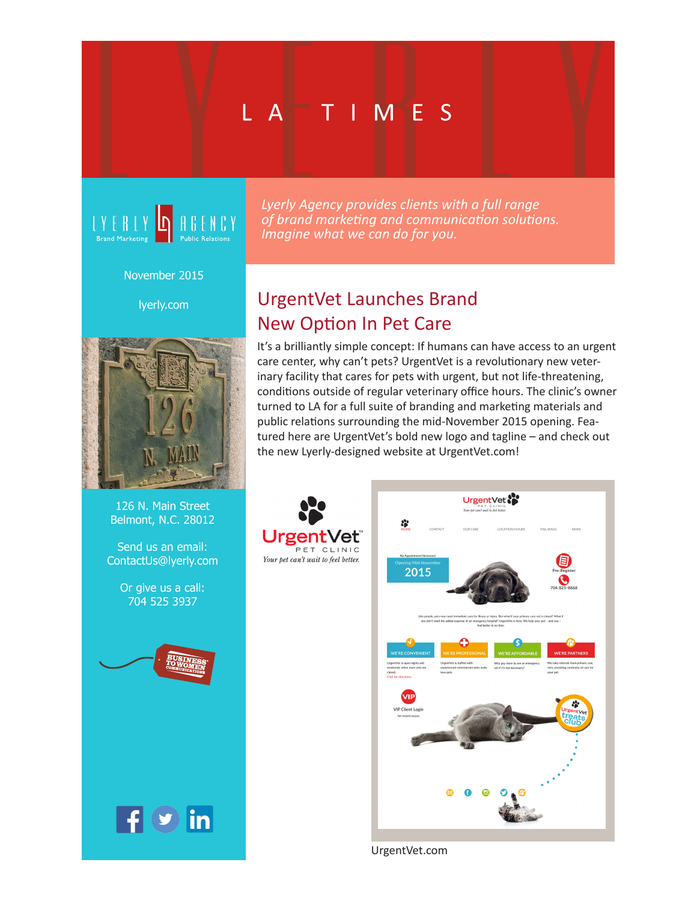# L AT T I ME S



November 2015

lyerly.com



126 N. Main Street Belmont, N.C. 28012

Send us an email: ContactUs@lyerly.com

> Or give us a call: 704 525 3937



 $\mathbf{f}$   $\mathbf{y}$  in

*Lyerly Agency provides clients with a full range of brand marketing and communication solutions. Imagine what we can do for you.* 

## UrgentVet Launches Brand New Option In Pet Care

It's a brilliantly simple concept: If humans can have access to an urgent care center, why can't pets? UrgentVet is a revolutionary new veterinary facility that cares for pets with urgent, but not life-threatening, conditions outside of regular veterinary office hours. The clinic's owner turned to LA for a full suite of branding and marketing materials and public relations surrounding the mid-November 2015 opening. Featured here are UrgentVet's bold new logo and tagline – and check out the new Lyerly-designed website at UrgentVet.com!



UrgentVet.com